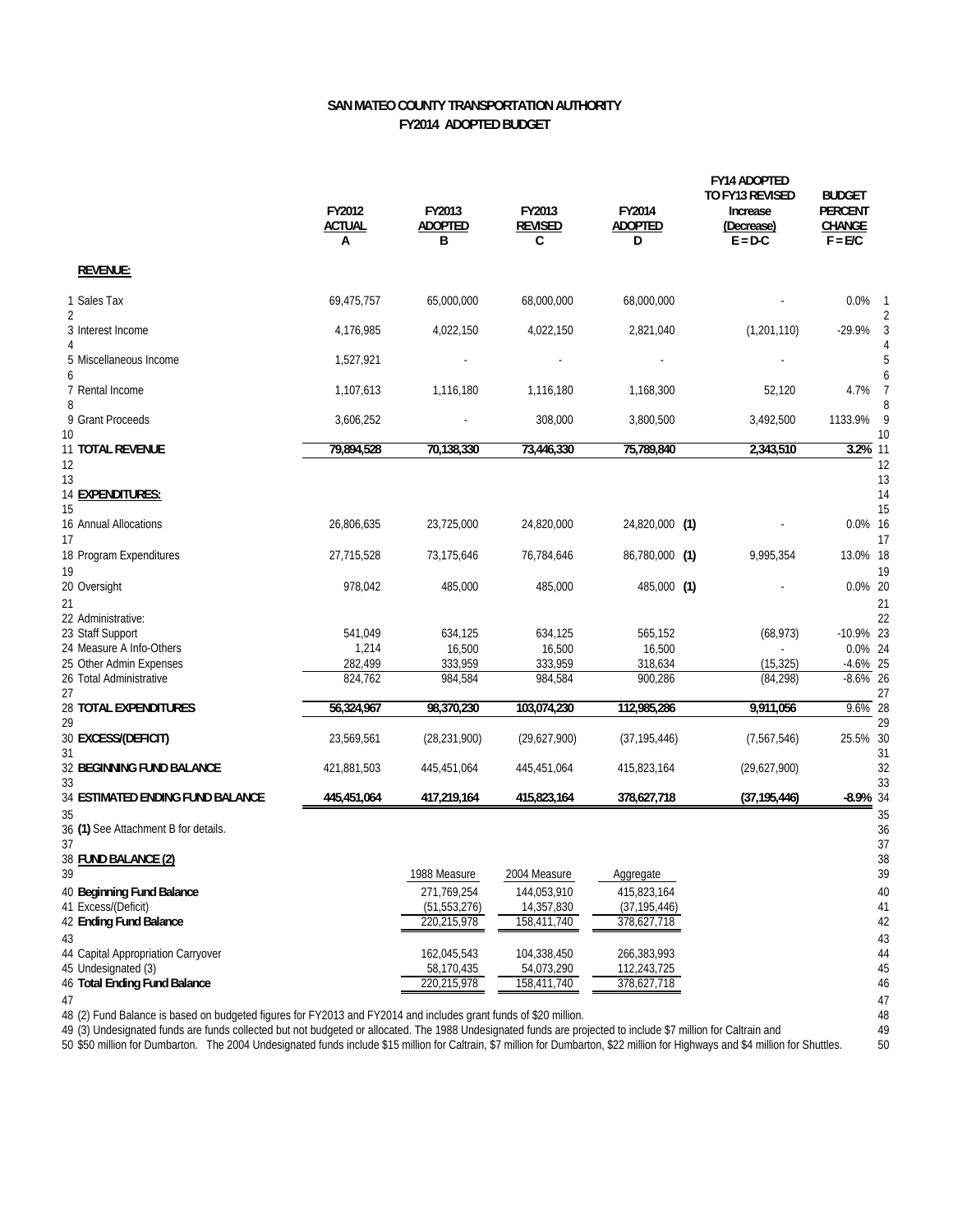## **SAN MATEO COUNTY TRANSPORTATION AUTHORITY FY2014 ADOPTED BUDGET**

|                                            | FY2012<br><b>ACTUAL</b><br>А | FY2013<br><b>ADOPTED</b><br>B | FY2013<br><b>REVISED</b><br>C | FY2014<br><b>ADOPTED</b><br>D | <b>FY14 ADOPTED</b><br><b>TO FY13 REVISED</b><br>Increase<br>(Decrease)<br>$E = D-C$ | <b>BUDGET</b><br><b>PERCENT</b><br>CHANGE<br>$F = E/C$ |           |
|--------------------------------------------|------------------------------|-------------------------------|-------------------------------|-------------------------------|--------------------------------------------------------------------------------------|--------------------------------------------------------|-----------|
| <b>REVENUE:</b>                            |                              |                               |                               |                               |                                                                                      |                                                        |           |
| 1 Sales Tax<br>2                           | 69,475,757                   | 65,000,000                    | 68,000,000                    | 68,000,000                    |                                                                                      | $0.0\%$                                                |           |
| 3 Interest Income                          | 4,176,985                    | 4,022,150                     | 4,022,150                     | 2,821,040                     | (1, 201, 110)                                                                        | $-29.9%$                                               |           |
| 5 Miscellaneous Income<br>6                | 1,527,921                    |                               |                               |                               |                                                                                      |                                                        |           |
| 7 Rental Income<br>8                       | 1,107,613                    | 1,116,180                     | 1.116.180                     | 1,168,300                     | 52,120                                                                               | 4.7%                                                   | 7         |
| 9 Grant Proceeds<br>10                     | 3,606,252                    |                               | 308,000                       | 3,800,500                     | 3,492,500                                                                            | 1133.9%                                                | - 9<br>10 |
| 11 TOTAL REVENUE<br>12                     | 79,894,528                   | 70,138,330                    | 73,446,330                    | 75,789,840                    | 2,343,510                                                                            | 3.2% 11<br>12                                          |           |
| 13<br>14 EXPENDITURES:<br>15               |                              |                               |                               |                               |                                                                                      | 13<br>14<br>15                                         |           |
| 16 Annual Allocations<br>17                | 26,806,635                   | 23,725,000                    | 24,820,000                    | 24,820,000 (1)                |                                                                                      | 0.0% 16<br>17                                          |           |
| 18 Program Expenditures<br>19              | 27,715,528                   | 73,175,646                    | 76,784,646                    | 86,780,000 (1)                | 9,995,354                                                                            | 13.0% 18<br>19                                         |           |
| 20 Oversight<br>21                         | 978,042                      | 485,000                       | 485,000                       | 485,000 (1)                   |                                                                                      | 0.0% 20<br>21                                          |           |
| 22 Administrative:                         |                              |                               |                               |                               |                                                                                      | 22                                                     |           |
| 23 Staff Support                           | 541,049                      | 634,125                       | 634,125                       | 565,152                       | (68, 973)                                                                            | $-10.9\%$ 23                                           |           |
| 24 Measure A Info-Others                   | 1,214                        | 16,500                        | 16,500                        | 16,500                        |                                                                                      | 0.0% 24                                                |           |
| 25 Other Admin Expenses                    | 282,499                      | 333,959                       | 333,959                       | 318,634                       | (15, 325)                                                                            | $-4.6\%$ 25                                            |           |
| 26 Total Administrative<br>27              | 824,762                      | 984,584                       | 984,584                       | 900,286                       | (84, 298)                                                                            | $-8.6\%$ 26<br>27                                      |           |
| 28 TOTAL EXPENDITURES<br>29                | 56,324,967                   | 98,370,230                    | 103,074,230                   | 112,985,286                   | 9,911,056                                                                            | $9.6\%$ 28                                             | 29        |
| 30 EXCESS/(DEFICIT)<br>31                  | 23,569,561                   | (28, 231, 900)                | (29,627,900)                  | (37, 195, 446)                | (7,567,546)                                                                          | 25.5% 30<br>31                                         |           |
| <b>32 BEGINNING FUND BALANCE</b><br>33     | 421,881,503                  | 445,451,064                   | 445,451,064                   | 415,823,164                   | (29,627,900)                                                                         | 32<br>33                                               |           |
| 34 ESTIMATED ENDING FUND BALANCE<br>35     | 445,451,064                  | 417,219,164                   | 415,823,164                   | 378,627,718                   | (37, 195, 446)                                                                       | $-8.9\%$ 34<br>35                                      |           |
| 36 (1) See Attachment B for details.<br>37 |                              |                               |                               |                               |                                                                                      | 36<br>37                                               |           |
| 38 FUND BALANCE (2)<br>39                  |                              | 1988 Measure                  | 2004 Measure                  | Aggregate                     |                                                                                      |                                                        | 38<br>39  |
| 40 Beginning Fund Balance                  |                              | 271,769,254                   | 144,053,910                   | 415,823,164                   |                                                                                      |                                                        | 40        |
| 41 Excess/(Deficit)                        |                              | (51, 553, 276)                | 14,357,830                    | (37, 195, 446)                |                                                                                      |                                                        | 41        |
| 42 Ending Fund Balance                     |                              | 220,215,978                   | 158,411,740                   | 378,627,718                   |                                                                                      | 42                                                     |           |
| 43                                         |                              |                               |                               |                               |                                                                                      |                                                        | 43        |
| 44 Capital Appropriation Carryover         |                              | 162,045,543                   | 104,338,450                   | 266,383,993                   |                                                                                      | 44                                                     |           |
| 45 Undesignated (3)                        |                              | 58,170,435                    | 54,073,290                    | 112,243,725                   |                                                                                      | 45                                                     |           |
| 46 Total Ending Fund Balance               |                              | 220,215,978                   | 158,411,740                   | 378,627,718                   |                                                                                      | 46                                                     |           |
| 47                                         |                              |                               |                               |                               |                                                                                      | 47                                                     |           |

48 (2) Fund Balance is based on budgeted figures for FY2013 and FY2014 and includes grant funds of \$20 million. 48

49 (3) Undesignated funds are funds collected but not budgeted or allocated. The 1988 Undesignated funds are projected to include \$7 million for Caltrain and 49

50 \$50 million for Dumbarton. The 2004 Undesignated funds include \$15 million for Caltrain, \$7 million for Dumbarton, \$22 million for Highways and \$4 million for Shuttles. 50